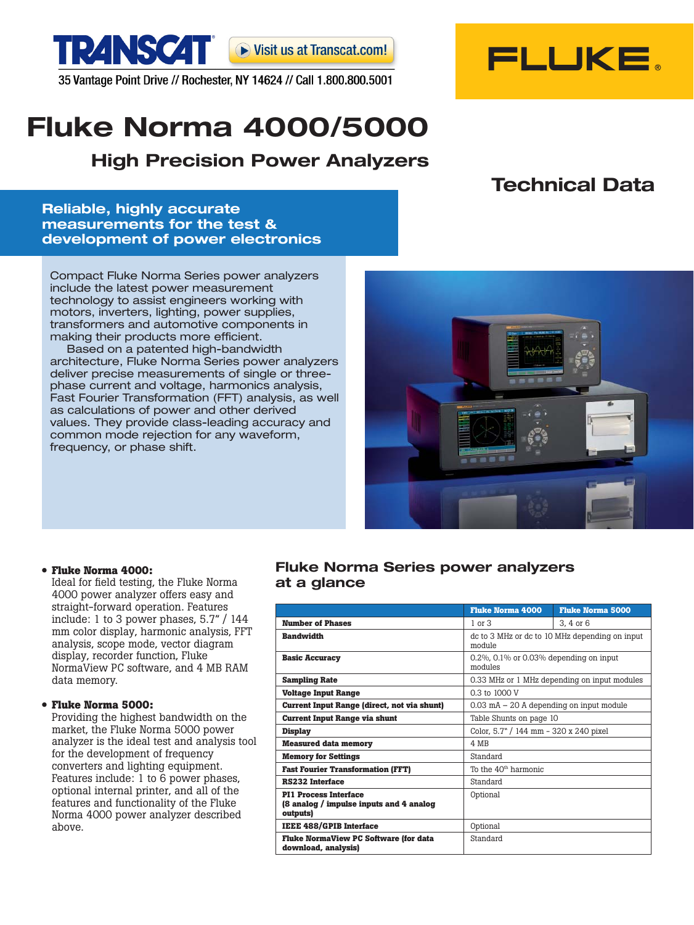

Visit us at Transcat.com!

35 Vantage Point Drive // Rochester, NY 14624 // Call 1.800.800.5001

# FLUKE.

# **Fluke Norma 4000/5000**

# **High Precision Power Analyzers**

# **Technical Data**

**Reliable, highly accurate measurements for the test & development of power electronics**

Compact Fluke Norma Series power analyzers include the latest power measurement technology to assist engineers working with motors, inverters, lighting, power supplies, transformers and automotive components in making their products more efficient.

 Based on a patented high-bandwidth architecture, Fluke Norma Series power analyzers deliver precise measurements of single or threephase current and voltage, harmonics analysis, Fast Fourier Transformation (FFT) analysis, as well as calculations of power and other derived values. They provide class-leading accuracy and common mode rejection for any waveform, frequency, or phase shift.



#### **• Fluke Norma 4000:**

Ideal for field testing, the Fluke Norma 4000 power analyzer offers easy and straight-forward operation. Features include: 1 to 3 power phases, 5.7" / 144 mm color display, harmonic analysis, FFT analysis, scope mode, vector diagram display, recorder function, Fluke NormaView PC software, and 4 MB RAM data memory.

#### **• Fluke Norma 5000:**

Providing the highest bandwidth on the market, the Fluke Norma 5000 power analyzer is the ideal test and analysis tool for the development of frequency converters and lighting equipment. Features include: 1 to 6 power phases, optional internal printer, and all of the features and functionality of the Fluke Norma 4000 power analyzer described above.

#### **Fluke Norma Series power analyzers at a glance**

|                                                                                     | <b>Fluke Norma 4000</b>                                  | <b>Fluke Norma 5000</b>                      |  |
|-------------------------------------------------------------------------------------|----------------------------------------------------------|----------------------------------------------|--|
| <b>Number of Phases</b>                                                             | 3.4 or 6<br>1 or 3                                       |                                              |  |
| <b>Bandwidth</b>                                                                    | dc to 3 MHz or dc to 10 MHz depending on input<br>module |                                              |  |
| <b>Basic Accuracy</b>                                                               | $0.2\%$ , 0.1% or 0.03% depending on input<br>modules    |                                              |  |
| <b>Sampling Rate</b>                                                                |                                                          | 0.33 MHz or 1 MHz depending on input modules |  |
| <b>Voltage Input Range</b>                                                          | 0.3 to 1000 V                                            |                                              |  |
| Current Input Range (direct, not via shunt)                                         | $0.03$ mA $-20$ A depending on input module              |                                              |  |
| <b>Current Input Range via shunt</b>                                                | Table Shunts on page 10                                  |                                              |  |
| <b>Display</b>                                                                      | Color, 5.7" / 144 mm - 320 x 240 pixel                   |                                              |  |
| <b>Measured data memory</b>                                                         | 4 MB                                                     |                                              |  |
| <b>Memory for Settings</b>                                                          | Standard                                                 |                                              |  |
| <b>Fast Fourier Transformation (FFT)</b>                                            | To the 40 <sup>th</sup> harmonic                         |                                              |  |
| <b>RS232 Interface</b>                                                              | Standard                                                 |                                              |  |
| <b>PI1 Process Interface</b><br>(8 analog / impulse inputs and 4 analog<br>outputs) | Optional                                                 |                                              |  |
| <b>IEEE 488/GPIB Interface</b>                                                      | Optional                                                 |                                              |  |
| <b>Fluke NormaView PC Software (for data</b><br>download, analysis)                 | Standard                                                 |                                              |  |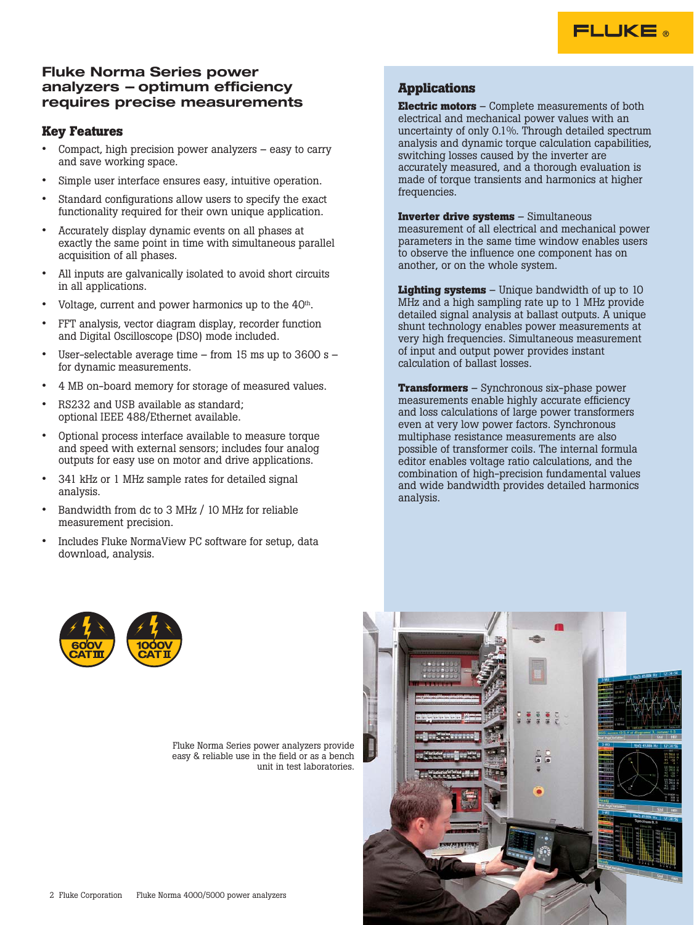# **FLUKE**

#### **Fluke Norma Series power analyzers - optimum efficiency requires precise measurements**

#### **Key Features**

- Compact, high precision power analyzers easy to carry and save working space.
- Simple user interface ensures easy, intuitive operation.
- Standard configurations allow users to specify the exact functionality required for their own unique application.
- Accurately display dynamic events on all phases at exactly the same point in time with simultaneous parallel acquisition of all phases.
- All inputs are galvanically isolated to avoid short circuits in all applications.
- Voltage, current and power harmonics up to the 40<sup>th</sup>.
- FFT analysis, vector diagram display, recorder function and Digital Oscilloscope (DSO) mode included.
- User-selectable average time  $-$  from 15 ms up to 3600 s  $$ for dynamic measurements.
- 4 MB on-board memory for storage of measured values.
- RS232 and USB available as standard; optional IEEE 488/Ethernet available.
- Optional process interface available to measure torque and speed with external sensors; includes four analog outputs for easy use on motor and drive applications.
- 341 kHz or 1 MHz sample rates for detailed signal analysis.
- Bandwidth from dc to 3 MHz / 10 MHz for reliable measurement precision.
- Includes Fluke NormaView PC software for setup, data download, analysis.

#### **Applications**

**Electric motors** – Complete measurements of both electrical and mechanical power values with an uncertainty of only 0.1%. Through detailed spectrum analysis and dynamic torque calculation capabilities, switching losses caused by the inverter are accurately measured, and a thorough evaluation is made of torque transients and harmonics at higher frequencies.

**Inverter drive systems** – Simultaneous measurement of all electrical and mechanical power parameters in the same time window enables users to observe the influence one component has on another, or on the whole system.

**Lighting systems** – Unique bandwidth of up to 10 MHz and a high sampling rate up to 1 MHz provide detailed signal analysis at ballast outputs. A unique shunt technology enables power measurements at very high frequencies. Simultaneous measurement of input and output power provides instant calculation of ballast losses.

**Transformers** – Synchronous six-phase power measurements enable highly accurate efficiency and loss calculations of large power transformers even at very low power factors. Synchronous multiphase resistance measurements are also possible of transformer coils. The internal formula editor enables voltage ratio calculations, and the combination of high-precision fundamental values and wide bandwidth provides detailed harmonics analysis.



Fluke Norma Series power analyzers provide easy  $&$  reliable use in the field or as a bench unit in test laboratories.

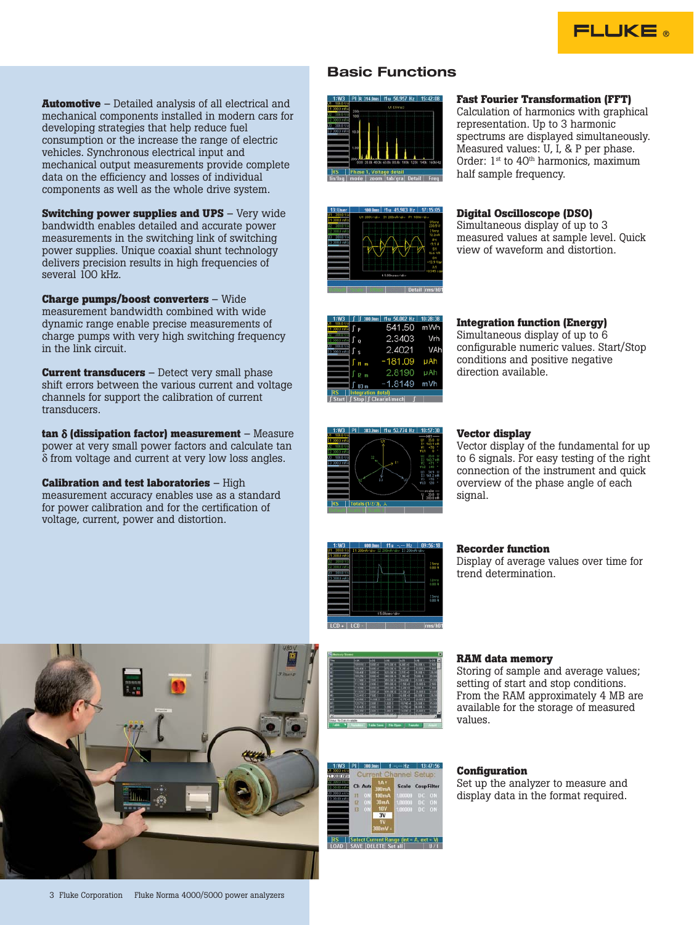

**Automotive** – Detailed analysis of all electrical and mechanical components installed in modern cars for developing strategies that help reduce fuel consumption or the increase the range of electric vehicles. Synchronous electrical input and mechanical output measurements provide complete data on the efficiency and losses of individual components as well as the whole drive system.

**Switching power supplies and UPS – Very wide** bandwidth enables detailed and accurate power measurements in the switching link of switching power supplies. Unique coaxial shunt technology delivers precision results in high frequencies of several 100 kHz.

**Charge pumps/boost converters** – Wide measurement bandwidth combined with wide dynamic range enable precise measurements of charge pumps with very high switching frequency in the link circuit.

**Current transducers** – Detect very small phase shift errors between the various current and voltage channels for support the calibration of current transducers.

**tan** δ **(dissipation factor) measurement** – Measure power at very small power factors and calculate tan δ from voltage and current at very low loss angles.

**Calibration and test laboratories** – High measurement accuracy enables use as a standard for power calibration and for the certification of voltage, current, power and distortion.

### **Basic Functions**







#### **Fast Fourier Transformation (FFT)**

Calculation of harmonics with graphical representation. Up to 3 harmonic spectrums are displayed simultaneously. Measured values: U, I, & P per phase. Order: 1<sup>st</sup> to 40<sup>th</sup> harmonics, maximum half sample frequency.

#### **Digital Oscilloscope (DSO)**

Simultaneous display of up to 3 measured values at sample level. Quick view of waveform and distortion.

#### **Integration function (Energy)**

Simultaneous display of up to 6 configurable numeric values. Start/Stop conditions and positive negative direction available.

#### **Vector display**

Vector display of the fundamental for up to 6 signals. For easy testing of the right connection of the instrument and quick overview of the phase angle of each signal.



#### **Recorder function**

Display of average values over time for trend determination.







#### **RAM data memory**

Storing of sample and average values; setting of start and stop conditions. From the RAM approximately 4 MB are available for the storage of measured values.

#### **Configuration**

Set up the analyzer to measure and display data in the format required.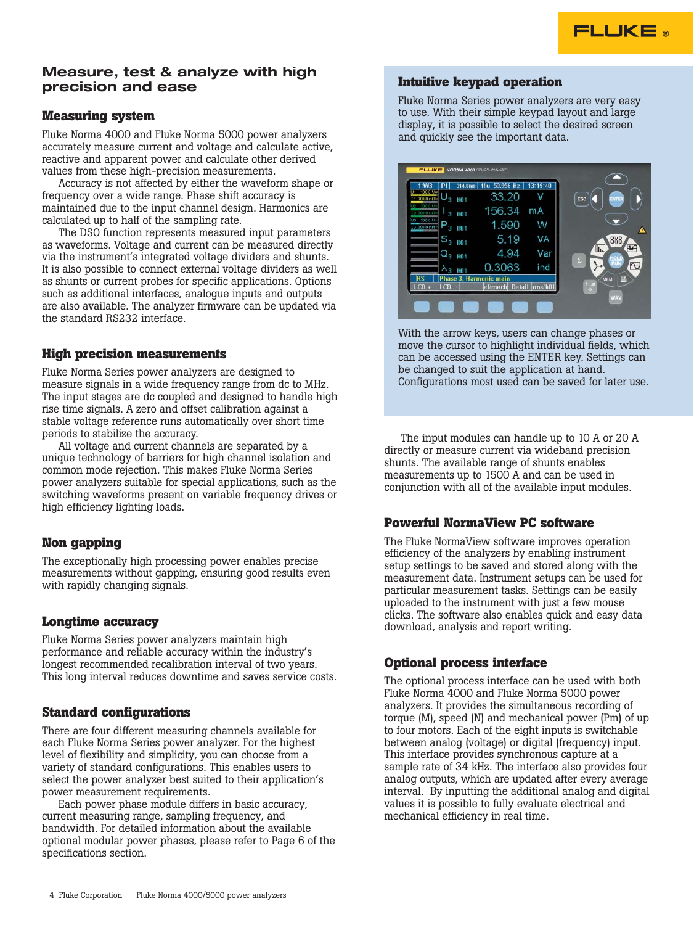#### **Measure, test & analyze with high precision and ease**

#### **Measuring system**

Fluke Norma 4000 and Fluke Norma 5000 power analyzers accurately measure current and voltage and calculate active, reactive and apparent power and calculate other derived values from these high-precision measurements.

 Accuracy is not affected by either the waveform shape or frequency over a wide range. Phase shift accuracy is maintained due to the input channel design. Harmonics are calculated up to half of the sampling rate.

 The DSO function represents measured input parameters as waveforms. Voltage and current can be measured directly via the instrument's integrated voltage dividers and shunts. It is also possible to connect external voltage dividers as well as shunts or current probes for specific applications. Options such as additional interfaces, analogue inputs and outputs are also available. The analyzer firmware can be updated via the standard RS232 interface.

#### **High precision measurements**

Fluke Norma Series power analyzers are designed to measure signals in a wide frequency range from dc to MHz. The input stages are dc coupled and designed to handle high rise time signals. A zero and offset calibration against a stable voltage reference runs automatically over short time periods to stabilize the accuracy.

 All voltage and current channels are separated by a unique technology of barriers for high channel isolation and common mode rejection. This makes Fluke Norma Series power analyzers suitable for special applications, such as the switching waveforms present on variable frequency drives or high efficiency lighting loads.

#### **Non gapping**

The exceptionally high processing power enables precise measurements without gapping, ensuring good results even with rapidly changing signals.

#### **Longtime accuracy**

Fluke Norma Series power analyzers maintain high performance and reliable accuracy within the industry's longest recommended recalibration interval of two years. This long interval reduces downtime and saves service costs.

#### **Standard configurations**

There are four different measuring channels available for each Fluke Norma Series power analyzer. For the highest level of flexibility and simplicity, you can choose from a variety of standard configurations. This enables users to select the power analyzer best suited to their application's power measurement requirements.

 Each power phase module differs in basic accuracy, current measuring range, sampling frequency, and bandwidth. For detailed information about the available optional modular power phases, please refer to Page 6 of the specifications section.

#### **Intuitive keypad operation**

Fluke Norma Series power analyzers are very easy to use. With their simple keypad layout and large display, it is possible to select the desired screen and quickly see the important data.



With the arrow keys, users can change phases or move the cursor to highlight individual fields, which can be accessed using the ENTER key. Settings can be changed to suit the application at hand. Configurations most used can be saved for later use.

 The input modules can handle up to 10 A or 20 A directly or measure current via wideband precision shunts. The available range of shunts enables measurements up to 1500 A and can be used in conjunction with all of the available input modules.

#### **Powerful NormaView PC software**

The Fluke NormaView software improves operation efficiency of the analyzers by enabling instrument setup settings to be saved and stored along with the measurement data. Instrument setups can be used for particular measurement tasks. Settings can be easily uploaded to the instrument with just a few mouse clicks. The software also enables quick and easy data download, analysis and report writing.

#### **Optional process interface**

The optional process interface can be used with both Fluke Norma 4000 and Fluke Norma 5000 power analyzers. It provides the simultaneous recording of torque (M), speed (N) and mechanical power (Pm) of up to four motors. Each of the eight inputs is switchable between analog (voltage) or digital (frequency) input. This interface provides synchronous capture at a sample rate of 34 kHz. The interface also provides four analog outputs, which are updated after every average interval. By inputting the additional analog and digital values it is possible to fully evaluate electrical and mechanical efficiency in real time.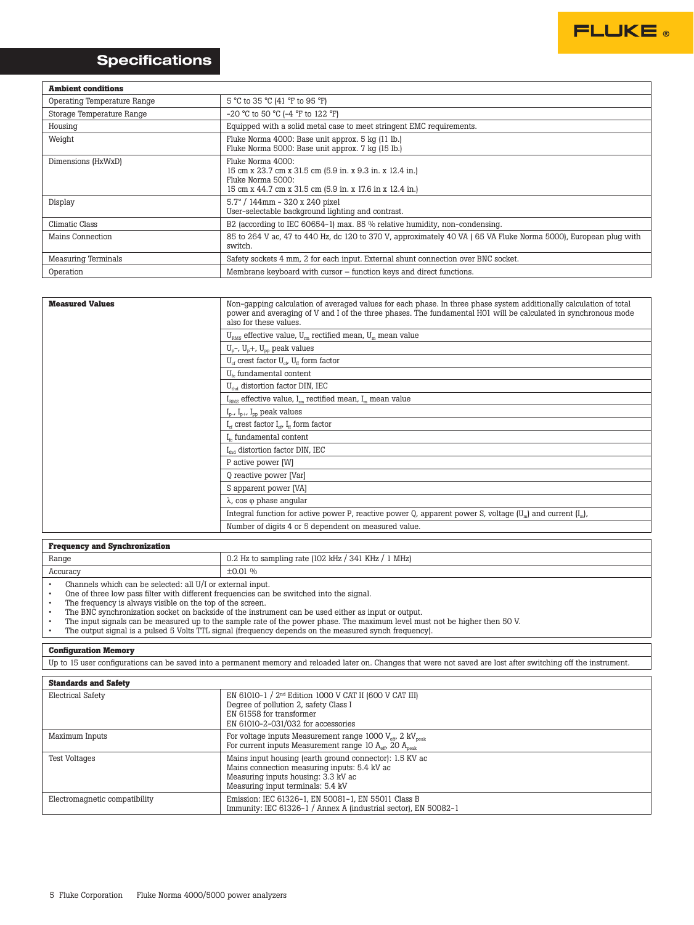

## **Specifications**

| <b>Ambient conditions</b>   |                                                                                                                                                                |  |
|-----------------------------|----------------------------------------------------------------------------------------------------------------------------------------------------------------|--|
| Operating Temperature Range | 5 °C to 35 °C (41 °F to 95 °F)                                                                                                                                 |  |
| Storage Temperature Range   | $-20$ °C to 50 °C (-4 °F to 122 °F)                                                                                                                            |  |
| Housing                     | Equipped with a solid metal case to meet stringent EMC requirements.                                                                                           |  |
| Weight                      | Fluke Norma 4000: Base unit approx. 5 kg (11 lb.)<br>Fluke Norma 5000: Base unit approx. 7 kg (15 lb.)                                                         |  |
| Dimensions (HxWxD)          | Fluke Norma 4000:<br>15 cm x 23.7 cm x 31.5 cm (5.9 in. x 9.3 in. x 12.4 in.)<br>Fluke Norma 5000:<br>15 cm x 44.7 cm x 31.5 cm (5.9 in. x 17.6 in x 12.4 in.) |  |
| Display                     | $5.7^{\circ}$ / 144mm - 320 x 240 pixel<br>User-selectable background lighting and contrast.                                                                   |  |
| Climatic Class              | B2 (according to IEC 60654-1) max. 85 % relative humidity, non-condensing.                                                                                     |  |
| Mains Connection            | 85 to 264 V ac, 47 to 440 Hz, dc 120 to 370 V, approximately 40 VA (65 VA Fluke Norma 5000), European plug with<br>switch.                                     |  |
| <b>Measuring Terminals</b>  | Safety sockets 4 mm, 2 for each input. External shunt connection over BNC socket.                                                                              |  |
| Operation                   | Membrane keyboard with cursor – function keys and direct functions.                                                                                            |  |

| <b>Measured Values</b> | Non-gapping calculation of averaged values for each phase. In three phase system additionally calculation of total<br>power and averaging of V and I of the three phases. The fundamental HO1 will be calculated in synchronous mode<br>also for these values. |  |
|------------------------|----------------------------------------------------------------------------------------------------------------------------------------------------------------------------------------------------------------------------------------------------------------|--|
|                        | $U_{RMS}$ effective value, $U_m$ rectified mean, $U_m$ mean value                                                                                                                                                                                              |  |
|                        | $U_n$ -, $U_n$ +, $U_m$ peak values                                                                                                                                                                                                                            |  |
|                        | $U_{rf}$ crest factor $U_{rf}$ , $U_{ff}$ form factor                                                                                                                                                                                                          |  |
|                        | $U_{\text{fr}}$ fundamental content                                                                                                                                                                                                                            |  |
|                        | $U_{\text{thd}}$ distortion factor DIN, IEC                                                                                                                                                                                                                    |  |
|                        | $IRMS$ effective value, $Im$ rectified mean, $Im$ mean value                                                                                                                                                                                                   |  |
|                        | $I_{n-r}$ , $I_{n+r}$ , $I_{nn}$ peak values                                                                                                                                                                                                                   |  |
|                        | $I_{cf}$ crest factor $I_{cf}$ , $I_{ff}$ form factor                                                                                                                                                                                                          |  |
|                        | $I_{tc}$ fundamental content                                                                                                                                                                                                                                   |  |
|                        | $I_{\text{tid}}$ distortion factor DIN, IEC                                                                                                                                                                                                                    |  |
|                        | P active power [W]                                                                                                                                                                                                                                             |  |
|                        | Q reactive power [Var]                                                                                                                                                                                                                                         |  |
|                        | S apparent power [VA]                                                                                                                                                                                                                                          |  |
|                        | $\lambda$ , cos $\varphi$ phase angular                                                                                                                                                                                                                        |  |
|                        | Integral function for active power P, reactive power Q, apparent power S, voltage $(U_m)$ and current $(I_m)$ ,                                                                                                                                                |  |
|                        | Number of digits 4 or 5 dependent on measured value.                                                                                                                                                                                                           |  |

| <b>Frequency and Synchronization</b>                                                                                                                                                                                                                                                                                       |  |  |  |  |
|----------------------------------------------------------------------------------------------------------------------------------------------------------------------------------------------------------------------------------------------------------------------------------------------------------------------------|--|--|--|--|
| 0.2 Hz to sampling rate (102 kHz $/$ 341 KHz $/$ 1 MHz)<br>Range                                                                                                                                                                                                                                                           |  |  |  |  |
| $\pm 0.01 \%$<br>Accuracy                                                                                                                                                                                                                                                                                                  |  |  |  |  |
| Channels which can be selected: all U/I or external input.<br>One of three low pass filter with different frequencies can be switched into the signal.<br>The frequency is always visible on the top of the screen.<br>The BNC synchronization socket on backside of the instrument can be used either as input or output. |  |  |  |  |

- The input signals can be measured up to the sample rate of the power phase. The maximum level must not be higher then 50 V.
- The output signal is a pulsed 5 Volts TTL signal (frequency depends on the measured synch frequency).

#### **Configuration Memory**

Up to 15 user configurations can be saved into a permanent memory and reloaded later on. Changes that were not saved are lost after switching off the instrument.

| <b>Standards and Safety</b>   |                                                                                                                                                                                     |
|-------------------------------|-------------------------------------------------------------------------------------------------------------------------------------------------------------------------------------|
| Electrical Safety             | EN 61010-1 / 2 <sup>nd</sup> Edition 1000 V CAT II (600 V CAT III)<br>Degree of pollution 2, safety Class I<br>EN 61558 for transformer<br>EN 61010-2-031/032 for accessories       |
| Maximum Inputs                | For voltage inputs Measurement range 1000 $V_{\text{eff}}$ , 2 $kV_{\text{peak}}$<br>For current inputs Measurement range 10 $Aeff$ 20 $Anext$                                      |
| <b>Test Voltages</b>          | Mains input housing (earth ground connector): 1.5 KV ac<br>Mains connection measuring inputs: 5.4 kV ac<br>Measuring inputs housing: 3.3 kV ac<br>Measuring input terminals: 5.4 kV |
| Electromagnetic compatibility | Emission: IEC 61326-1, EN 50081-1, EN 55011 Class B<br>Immunity: IEC 61326-1 / Annex A (industrial sector), EN 50082-1                                                              |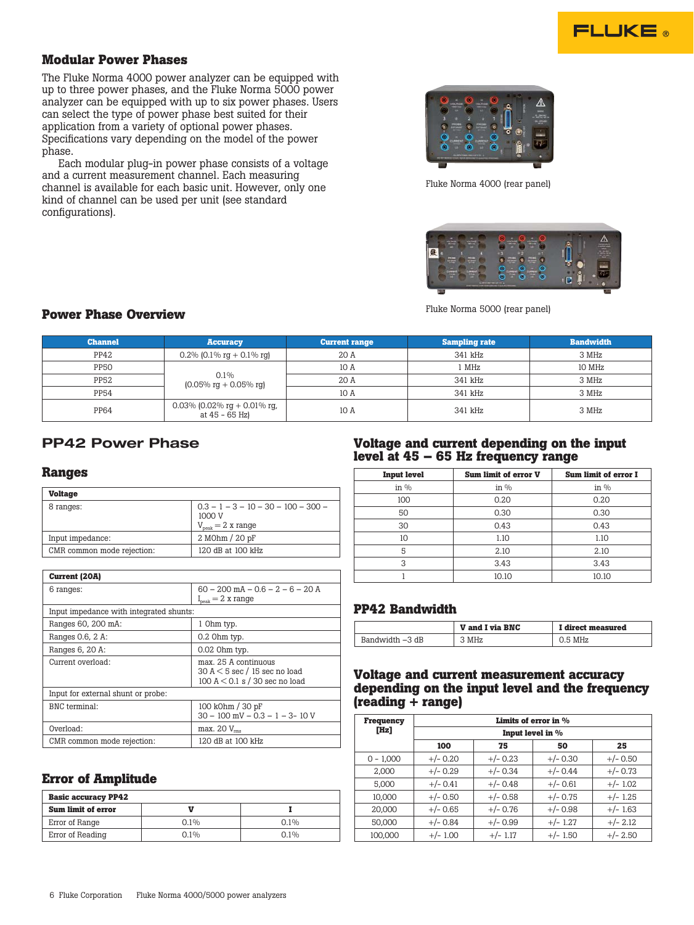

#### **Modular Power Phases**

The Fluke Norma 4000 power analyzer can be equipped with up to three power phases, and the Fluke Norma 5000 power analyzer can be equipped with up to six power phases. Users can select the type of power phase best suited for their application from a variety of optional power phases. Specifications vary depending on the model of the power phase.

 Each modular plug-in power phase consists of a voltage and a current measurement channel. Each measuring channel is available for each basic unit. However, only one kind of channel can be used per unit (see standard configurations).



Fluke Norma 4000 (rear panel)



Fluke Norma 5000 (rear panel)

#### **Power Phase Overview**

| <b>Channel</b> | <b>Accuracy</b>                                      | <b>Current range</b> | <b>Sampling rate</b> | <b>Bandwidth</b> |
|----------------|------------------------------------------------------|----------------------|----------------------|------------------|
| PP42           | $0.2\%$ (0.1% rg + 0.1% rg)                          | 20 A                 | 341 kHz              | 3 MHz            |
| <b>PP50</b>    |                                                      | 10 A                 | 1 MHz                | 10 MHz           |
| <b>PP52</b>    | $0.1\%$<br>$(0.05\% \text{ rg} + 0.05\% \text{ rg})$ | 20 A                 | 341 kHz              | 3 MHz            |
| <b>PP54</b>    |                                                      | 10 A                 | 341 kHz              | 3 MHz            |
| <b>PP64</b>    | 0.03% (0.02% rg + 0.01% rg,<br>at 45 - 65 Hz)        | 10 A                 | 341 kHz              | 3 MHz            |

### **PP42 Power Phase**

#### **Ranges**

| <b>Voltage</b>             |                                                                                          |
|----------------------------|------------------------------------------------------------------------------------------|
| 8 ranges:                  | $0.3 - 1 - 3 - 10 - 30 - 100 - 300 -$<br>1000 V<br>$V_{\text{peak}} = 2 \text{ x range}$ |
| Input impedance:           | 2 M0hm / 20 pF                                                                           |
| CMR common mode rejection: | 120 dB at 100 kHz                                                                        |

| <b>Current (20A)</b>                    |                                                                                             |  |
|-----------------------------------------|---------------------------------------------------------------------------------------------|--|
| 6 ranges:                               | $60 - 200$ mA $- 0.6 - 2 - 6 - 20$ A<br>$I_{\text{peak}} = 2$ x range                       |  |
| Input impedance with integrated shunts: |                                                                                             |  |
| Ranges 60, 200 mA:                      | 1 Ohm typ.                                                                                  |  |
| Ranges 0.6, 2 A:                        | 0.2 Ohm typ.                                                                                |  |
| Ranges 6, 20 A:                         | 0.02 Ohm typ.                                                                               |  |
| Current overload:                       | max. 25 A continuous<br>$30 A < 5$ sec / 15 sec no load<br>$100 A < 0.1 s / 30$ sec no load |  |
| Input for external shunt or probe:      |                                                                                             |  |
| BNC terminal:                           | 100 k0hm / 30 pF<br>$30 - 100$ mV $- 0.3 - 1 - 3 - 10$ V                                    |  |
| Overload:                               | max. 20 $V_{rms}$                                                                           |  |
| CMR common mode rejection:              | 120 dB at 100 kHz                                                                           |  |

#### **Error of Amplitude**

| <b>Basic accuracy PP42</b> |         |         |  |  |
|----------------------------|---------|---------|--|--|
| <b>Sum limit of error</b>  |         |         |  |  |
| Error of Range             | $0.1\%$ | 0.1%    |  |  |
| Error of Reading           | $0.1\%$ | $0.1\%$ |  |  |

#### **Voltage and current depending on the input level at 45 – 65 Hz frequency range**

| <b>Input level</b> | <b>Sum limit of error V</b> | <b>Sum limit of error I</b> |
|--------------------|-----------------------------|-----------------------------|
| in $\%$            | in $\%$                     | in $\%$                     |
| 100                | 0.20                        | 0.20                        |
| 50                 | 0.30                        | 0.30                        |
| 30                 | 0.43                        | 0.43                        |
| 10                 | 1.10                        | 1.10                        |
| 5                  | 2.10                        | 2.10                        |
| 3                  | 3.43                        | 3.43                        |
|                    | 10.10                       | 10.10                       |

#### **PP42 Bandwidth**

|                 | V and I via BNC | ı direct measured |
|-----------------|-----------------|-------------------|
| Bandwidth -3 dB |                 |                   |

#### **Voltage and current measurement accuracy depending on the input level and the frequency (reading + range)**

| <b>Frequency</b> | Limits of error in $\%$ |            |            |            |
|------------------|-------------------------|------------|------------|------------|
| [Hz]             | Input level in %        |            |            |            |
|                  | 100<br>75<br>25<br>50   |            |            |            |
| $0 - 1,000$      | $+/- 0.20$              | $+/- 0.23$ | $+/- 0.30$ | $+/- 0.50$ |
| 2.000            | $+/- 0.29$              | $+/- 0.34$ | $+/- 0.44$ | $+/- 0.73$ |
| 5.000            | $+/- 0.41$              | $+/- 0.48$ | $+/- 0.61$ | $+/- 1.02$ |
| 10.000           | $+/- 0.50$              | $+/- 0.58$ | $+/- 0.75$ | $+/- 1.25$ |
| 20,000           | $+/- 0.65$              | $+/- 0.76$ | $+/- 0.98$ | $+/- 1.63$ |
| 50,000           | $+/- 0.84$              | $+/- 0.99$ | $+/- 1.27$ | $+/- 2.12$ |
| 100.000          | $+/- 1.00$              | $+/- 1.17$ | $+/- 1.50$ | $+/- 2.50$ |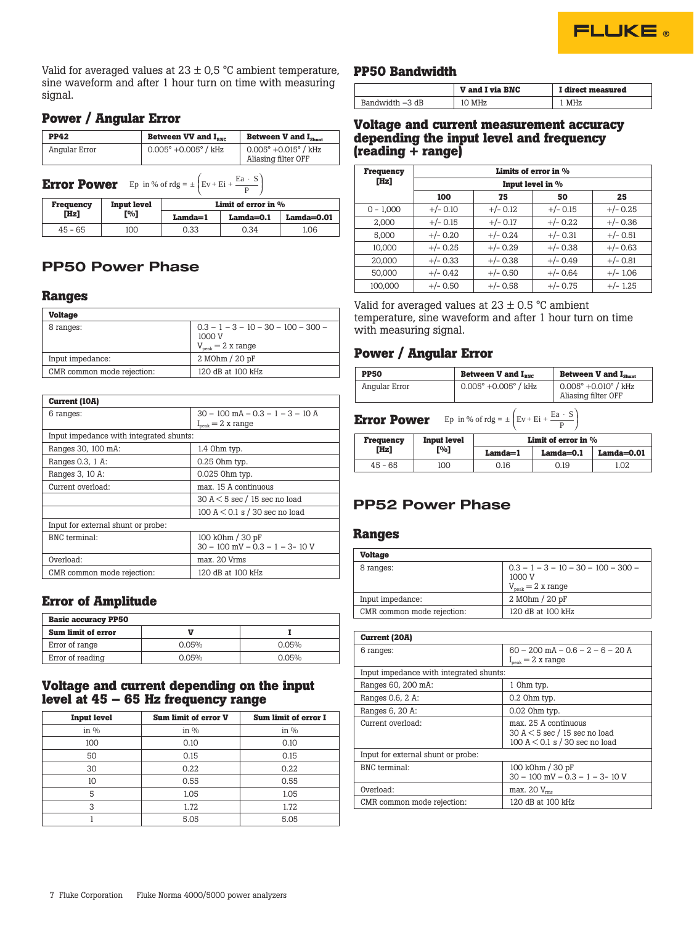

Valid for averaged values at  $23 \pm 0.5$  °C ambient temperature, sine waveform and after 1 hour turn on time with measuring signal.

#### **Power / Angular Error**

| <b>PP42</b>   | Between $VV$ and $I_{\text{enc}}$ | Between $V$ and $I_{\text{shunt}}$                   |
|---------------|-----------------------------------|------------------------------------------------------|
| Angular Error | $0.005^{\circ}$ +0.005° / kHz     | $0.005^{\circ}$ +0.015° / kHz<br>Aliasing filter OFF |

**Error Power** Ep in % of  $\text{rdg} = \pm \left( \text{Ev} + \text{Ei} + \frac{\text{Ea} \cdot \text{S}}{\text{P}} \right)$  $\left(\text{Ev} + \text{Ei} + \frac{\text{Ea} \cdot \text{S}}{\text{P}}\right)$ 

| Frequency | <b>Input level</b> |           | Limit of error in $\%$ |              |
|-----------|--------------------|-----------|------------------------|--------------|
| [Hz]      | Г%1                | $Lamda=1$ | $Lamda=0.1$            | $Lamda=0.01$ |
| $45 - 65$ | 100                | 0.33      | 0.34                   | 1.06         |

### **PP50 Power Phase**

#### **Ranges**

| <b>Voltage</b>             |                                                                           |
|----------------------------|---------------------------------------------------------------------------|
| 8 ranges:                  | $0.3 - 1 - 3 - 10 - 30 - 100 - 300 -$<br>1000 V<br>$V_{peak} = 2$ x range |
| Input impedance:           | 2 M0hm / 20 pF                                                            |
| CMR common mode rejection: | 120 dB at 100 kHz                                                         |

| <b>Current (10A)</b>                    |                                                                       |
|-----------------------------------------|-----------------------------------------------------------------------|
| 6 ranges:                               | $30 - 100$ mA $- 0.3 - 1 - 3 - 10$ A<br>$I_{\text{peak}} = 2$ x range |
| Input impedance with integrated shunts: |                                                                       |
| Ranges 30, 100 mA:                      | 1.4 Ohm typ.                                                          |
| Ranges 0.3, 1 A:                        | $0.25$ Ohm typ.                                                       |
| Ranges 3, 10 A:                         | 0.025 0hm typ.                                                        |
| Current overload:                       | max. 15 A continuous                                                  |
|                                         | $30 A < 5$ sec / 15 sec no load                                       |
|                                         | $100$ A $< 0.1$ s $/$ 30 sec no load                                  |
| Input for external shunt or probe:      |                                                                       |
| BNC terminal:                           | 100 k0hm / 30 pF<br>$30 - 100$ mV $- 0.3 - 1 - 3 - 10$ V              |
| Overload:                               | max. 20 Vrms                                                          |
| CMR common mode rejection:              | 120 dB at 100 kHz                                                     |

#### **Error of Amplitude**

| <b>Basic accuracy PP50</b> |       |       |  |
|----------------------------|-------|-------|--|
| <b>Sum limit of error</b>  |       |       |  |
| Error of range             | 0.05% | 0.05% |  |
| Error of reading           | 0.05% | 0.05% |  |

#### **Voltage and current depending on the input level at 45 – 65 Hz frequency range**

| <b>Input level</b> | <b>Sum limit of error V</b> | <b>Sum limit of error I</b> |
|--------------------|-----------------------------|-----------------------------|
| in $\%$            | in $\%$                     | in $%$                      |
| 100                | 0.10                        | 0.10                        |
| 50                 | 0.15                        | 0.15                        |
| 30                 | 0.22                        | 0.22                        |
| 10                 | 0.55                        | 0.55                        |
| 5                  | 1.05                        | 1.05                        |
| 3                  | 1.72                        | 1.72                        |
|                    | 5.05                        | 5.05                        |

#### **PP50 Bandwidth**

|                 | V and I via BNC | I direct measured |
|-----------------|-----------------|-------------------|
| Bandwidth -3 dB | MH <sub>7</sub> | MHz               |

#### **Voltage and current measurement accuracy depending the input level and frequency (reading + range)**

| <b>Frequency</b> |                  |            | Limits of error in $\%$ |            |
|------------------|------------------|------------|-------------------------|------------|
| [Hz]             | Input level in % |            |                         |            |
|                  | 100              | 75         | 50                      | 25         |
| $0 - 1,000$      | $+/- 0.10$       | $+/- 0.12$ | $+/- 0.15$              | $+/- 0.25$ |
| 2.000            | $+/- 0.15$       | $+/- 0.17$ | $+/- 0.22$              | $+/- 0.36$ |
| 5.000            | $+/- 0.20$       | $+/- 0.24$ | $+/- 0.31$              | $+/- 0.51$ |
| 10,000           | $+/- 0.25$       | $+/- 0.29$ | $+/- 0.38$              | $+/- 0.63$ |
| 20,000           | $+/- 0.33$       | $+/- 0.38$ | $+/- 0.49$              | $+/- 0.81$ |
| 50,000           | $+/- 0.42$       | $+/- 0.50$ | $+/- 0.64$              | $+/- 1.06$ |
| 100.000          | $+/- 0.50$       | $+/- 0.58$ | $+/- 0.75$              | $+/- 1.25$ |

Valid for averaged values at  $23 \pm 0.5$  °C ambient temperature, sine waveform and after 1 hour turn on time with measuring signal.

#### **Power / Angular Error**

| <b>PP50</b>   | Between V and I <sub>pwc</sub>        | Between $V$ and $I_{shunt}$                                    |
|---------------|---------------------------------------|----------------------------------------------------------------|
| Angular Error | $0.005^{\circ} + 0.005^{\circ}$ / kHz | $0.005^{\circ}$ +0.010 $^{\circ}$ / kHz<br>Aliasing filter OFF |

| <b>Error Power</b> | Ep in % of rdg = $\pm$ $\left($ Ev + Ei + $\frac{\text{Ea} \cdot \text{S}}{2}\right)$ |  |  |
|--------------------|---------------------------------------------------------------------------------------|--|--|
|--------------------|---------------------------------------------------------------------------------------|--|--|

| <b>Frequency</b> | Input level | Limit of error in $\%$ |             |              |
|------------------|-------------|------------------------|-------------|--------------|
| [Hz]             | T%1         | $Lamda=1$              | $Lamda=0.1$ | $Lamda=0.01$ |
| $45 - 65$        | 100         | 0.16                   | 0.19        | LO2          |

# **PP52 Power Phase**

#### **Ranges**

| <b>Voltage</b>             |                                                                                  |
|----------------------------|----------------------------------------------------------------------------------|
| 8 ranges:                  | $0.3 - 1 - 3 - 10 - 30 - 100 - 300 -$<br>1000 V<br>$V_{\text{peak}} = 2$ x range |
| Input impedance:           | 2 M0hm / 20 pF                                                                   |
| CMR common mode rejection: | 120 dB at 100 kHz                                                                |

| <b>Current (20A)</b>                    |                                      |  |  |
|-----------------------------------------|--------------------------------------|--|--|
| 6 ranges:                               | $60 - 200$ mA $- 0.6 - 2 - 6 - 20$ A |  |  |
|                                         | $I_{\text{peak}} = 2$ x range        |  |  |
| Input impedance with integrated shunts: |                                      |  |  |
| Ranges 60, 200 mA:                      | 1 Ohm typ.                           |  |  |
| Ranges 0.6, 2 A:                        | 0.2 Ohm typ.                         |  |  |
| Ranges 6, 20 A:                         | $0.02$ Ohm typ.                      |  |  |
| Current overload:                       | max, 25 A continuous                 |  |  |
|                                         | $30 A < 5$ sec / 15 sec no load      |  |  |
|                                         | $100 A < 0.1 s / 30$ sec no load     |  |  |
| Input for external shunt or probe:      |                                      |  |  |
| BNC terminal:                           | 100 k0hm / 30 pF                     |  |  |
|                                         | $30 - 100$ mV $- 0.3 - 1 - 3 - 10$ V |  |  |
| Overload:                               | max. 20 $V_{rms}$                    |  |  |
| CMR common mode rejection:              | 120 dB at 100 kHz                    |  |  |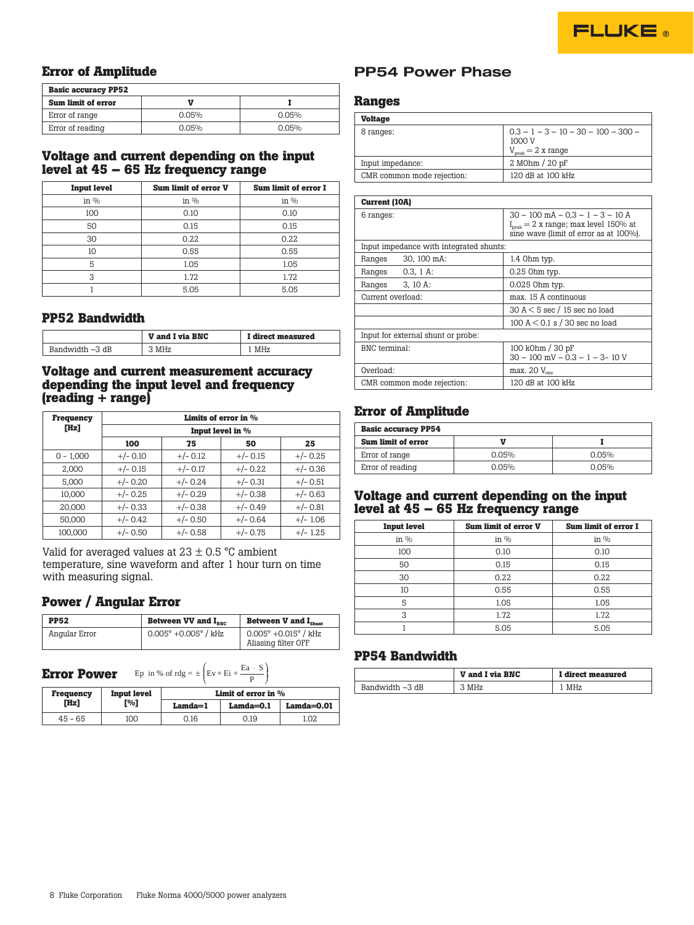

| <b>Basic accuracy PP52</b> |          |       |
|----------------------------|----------|-------|
| <b>Sum limit of error</b>  |          |       |
| Error of range             | $0.05\%$ | 0.05% |
| Error of reading           | 0.05%    | 0.05% |

#### **Voltage and current depending on the input level at 45 – 65 Hz frequency range**

| <b>Input level</b> | <b>Sum limit of error V</b> | <b>Sum limit of error I</b> |
|--------------------|-----------------------------|-----------------------------|
| in $\%$            | in %                        | in $%$                      |
| 100                | 0.10                        | 0.10                        |
| 50                 | 0.15                        | 0.15                        |
| 30                 | 0.22                        | 0.22                        |
| 10                 | 0.55                        | 0.55                        |
| 5                  | 1.05                        | 1.05                        |
| 3                  | 1.72                        | 1.72                        |
|                    | 5.05                        | 5.05                        |

#### **PP52 Bandwidth**

|                 | V and I via BNC | I direct measured |
|-----------------|-----------------|-------------------|
| Bandwidth -3 dB | MH <sub>z</sub> | MH <sub>z</sub>   |

#### **Voltage and current measurement accuracy depending the input level and frequency (reading + range)**

| <b>Frequency</b> | Limits of error in % |                |            |            |
|------------------|----------------------|----------------|------------|------------|
| [Hz]             | Input level in %     |                |            |            |
|                  | 100                  | 75<br>50<br>25 |            |            |
| $0 - 1,000$      | $+/- 0.10$           | $+/- 0.12$     | $+/- 0.15$ | $+/- 0.25$ |
| 2.000            | $+/- 0.15$           | $+/- 0.17$     | $+/- 0.22$ | $+/- 0.36$ |
| 5.000            | $+/- 0.20$           | $+/- 0.24$     | $+/- 0.31$ | $+/- 0.51$ |
| 10.000           | $+/- 0.25$           | $+/- 0.29$     | $+/- 0.38$ | $+/- 0.63$ |
| 20,000           | $+/- 0.33$           | $+/- 0.38$     | $+/- 0.49$ | $+/- 0.81$ |
| 50,000           | $+/- 0.42$           | $+/- 0.50$     | $+/- 0.64$ | $+/- 1.06$ |
| 100.000          | $+/- 0.50$           | $+/- 0.58$     | $+/- 0.75$ | $+/- 1.25$ |

Valid for averaged values at  $23 \pm 0.5$  °C ambient temperature, sine waveform and after 1 hour turn on time with measuring signal.

#### **Power / Angular Error**

| <b>PP52</b>   | Between VV and I <sub>pwc</sub>       | Between $V$ and $I_{shunt}$                                  |
|---------------|---------------------------------------|--------------------------------------------------------------|
| Angular Error | $0.005^{\circ} + 0.005^{\circ}$ / kHz | $0.005^{\circ} + 0.015^{\circ}$ / kHz<br>Aliasing filter OFF |

#### **Error Power** Ep in % of rdg =  $\pm \left($  Ev + Ei +  $\frac{\text{Ea} \cdot \text{S}}{\text{P}}\right)$  $\left(\text{Ev} + \text{Ei} + \frac{\text{Ea} \cdot \text{S}}{\text{P}}\right)$

| <b>Frequency</b> | Input level | Limit of error in $\%$ |             |                |
|------------------|-------------|------------------------|-------------|----------------|
| [Hz]             | [%]         | $Lamda=1$              | $Lamda=0.1$ | $Lamda = 0.01$ |
| $45 - 65$        | 100         | 0.16                   | 0.19        | LO2            |

#### **Error of Amplitude PP54 Power Phase**

#### **Ranges**

| <b>Voltage</b>             |                                                                                          |
|----------------------------|------------------------------------------------------------------------------------------|
| 8 ranges:                  | $0.3 - 1 - 3 - 10 - 30 - 100 - 300 -$<br>1000 V<br>$V_{\text{peak}} = 2 \text{ x range}$ |
| Input impedance:           | 2 M0hm / 20 pF                                                                           |
| CMR common mode rejection: | 120 dB at 100 kHz                                                                        |

| <b>Current (10A)</b>                    |                                                                                                                                    |  |
|-----------------------------------------|------------------------------------------------------------------------------------------------------------------------------------|--|
| 6 ranges:                               | $30 - 100$ mA $- 0.3 - 1 - 3 - 10$ A<br>$I_{\text{peak}} = 2$ x range; max level 150% at<br>sine wave (limit of error as at 100%). |  |
| Input impedance with integrated shunts: |                                                                                                                                    |  |
| 30, 100 mA:<br>Ranges                   | 1.4 Ohm typ.                                                                                                                       |  |
| 0.3.1 A:<br>Ranges                      | $0.25$ Ohm typ.                                                                                                                    |  |
| $3.10A$ :<br>Ranges                     | $0.025$ Ohm typ.                                                                                                                   |  |
| Current overload:                       | max. 15 A continuous                                                                                                               |  |
|                                         | $30 A < 5$ sec / 15 sec no load                                                                                                    |  |
|                                         | $100 A < 0.1 s / 30$ sec no load                                                                                                   |  |
| Input for external shunt or probe:      |                                                                                                                                    |  |
| BNC terminal:                           | 100 k0hm / 30 pF<br>$30 - 100$ mV $- 0.3 - 1 - 3 - 10$ V                                                                           |  |
| Overload:                               | max. 20 $V_{rms}$                                                                                                                  |  |
| CMR common mode rejection:              | 120 dB at 100 kHz                                                                                                                  |  |

#### **Error of Amplitude**

| <b>Basic accuracy PP54</b> |          |       |
|----------------------------|----------|-------|
| <b>Sum limit of error</b>  |          |       |
| Error of range             | $0.05\%$ | 0.05% |
| Error of reading           | 0.05%    | 0.05% |

#### **Voltage and current depending on the input level at 45 – 65 Hz frequency range**

| <b>Input level</b> | <b>Sum limit of error V</b> | <b>Sum limit of error I</b> |
|--------------------|-----------------------------|-----------------------------|
| in $%$             | in $\%$                     | in $\%$                     |
| 100                | 0.10                        | 0.10                        |
| 50                 | 0.15                        | 0.15                        |
| 30                 | 0.22                        | 0.22                        |
| 10                 | 0.55                        | 0.55                        |
| 5                  | 1.05                        | 1.05                        |
| 3                  | 1.72                        | 1.72                        |
|                    | 5.05                        | 5.05                        |

#### **PP54 Bandwidth**

|                  | <b>XT</b><br>' and I via BNC | direct measured |
|------------------|------------------------------|-----------------|
| <b>Bandwidth</b> |                              |                 |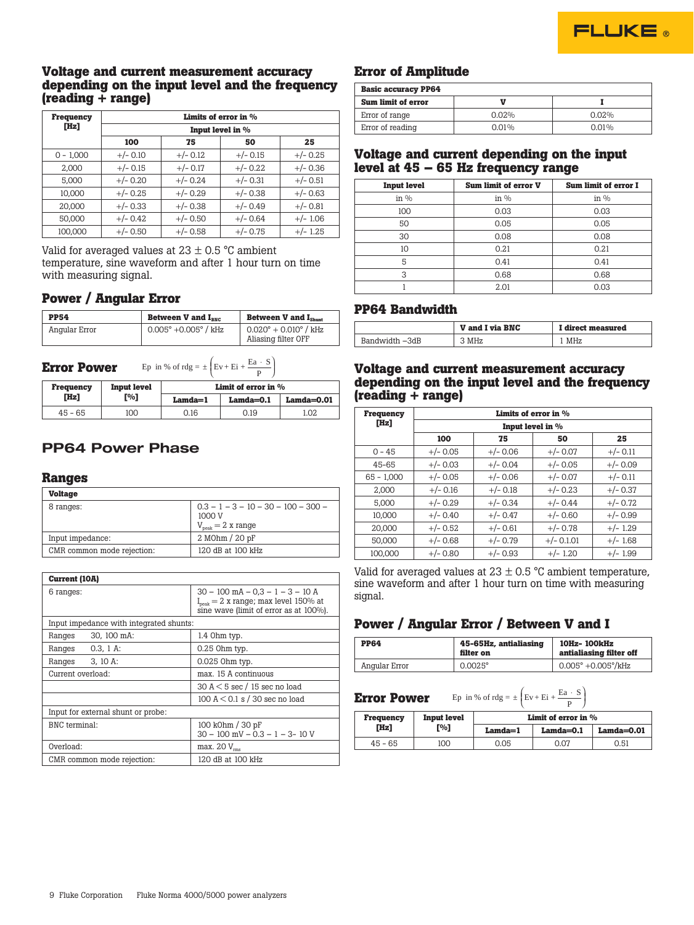

#### **Voltage and current measurement accuracy depending on the input level and the frequency (reading + range)**

| <b>Frequency</b> |                  | Limits of error in % |            |            |  |
|------------------|------------------|----------------------|------------|------------|--|
| [Hz]             | Input level in % |                      |            |            |  |
|                  | 100              | 50<br>25<br>75       |            |            |  |
| $0 - 1.000$      | $+/- 0.10$       | $+/- 0.12$           | $+/- 0.15$ | $+/- 0.25$ |  |
| 2,000            | $+/- 0.15$       | $+/- 0.17$           | $+/- 0.22$ | $+/- 0.36$ |  |
| 5,000            | $+/- 0.20$       | $+/- 0.24$           | $+/- 0.31$ | $+/- 0.51$ |  |
| 10.000           | $+/- 0.25$       | $+/- 0.29$           | $+/- 0.38$ | $+/- 0.63$ |  |
| 20,000           | $+/- 0.33$       | $+/- 0.38$           | $+/- 0.49$ | $+/- 0.81$ |  |
| 50,000           | $+/- 0.42$       | $+/- 0.50$           | $+/- 0.64$ | $+/- 1.06$ |  |
| 100.000          | $+/- 0.50$       | $+/- 0.58$           | $+/- 0.75$ | $+/- 1.25$ |  |

Valid for averaged values at  $23 \pm 0.5$  °C ambient temperature, sine waveform and after 1 hour turn on time with measuring signal.

#### **Power / Angular Error**

| <b>PP54</b>   | Between $V$ and $I_{\text{RMC}}$ | Between $V$ and $I_{shunt}$                                  |
|---------------|----------------------------------|--------------------------------------------------------------|
| Angular Error | $0.005^{\circ}$ +0.005° / kHz    | $0.020^{\circ} + 0.010^{\circ}$ / kHz<br>Aliasing filter OFF |

#### **Error Power**

Ep in % of rdg =  $\pm \left($ Ev + Ei +  $\frac{\text{Ea} \cdot \text{S}}{\text{P}}\right)$  $\left(\text{Ev} + \text{Ei} + \frac{\text{Ea} \cdot \text{S}}{\text{P}}\right)$ 

| Frequency | <b>Input level</b> |           | Limit of error in $\%$ |            |
|-----------|--------------------|-----------|------------------------|------------|
| [Hz]      | [%]                | $Lamda=1$ | $Lamda=0.1$            | Lamda=0.01 |
| $45 - 65$ | 100                | 0.16      | 0.19                   | 1.02       |

### **PP64 Power Phase**

#### **Ranges**

| <b>Voltage</b>             |                                                                           |
|----------------------------|---------------------------------------------------------------------------|
| 8 ranges:                  | $0.3 - 1 - 3 - 10 - 30 - 100 - 300 -$<br>1000 V<br>$V_{peak} = 2$ x range |
| Input impedance:           | 2 M0hm / 20 pF                                                            |
| CMR common mode rejection: | 120 dB at 100 kHz                                                         |

| Current (10A)                           |                                                                                                                                    |  |  |
|-----------------------------------------|------------------------------------------------------------------------------------------------------------------------------------|--|--|
| 6 ranges:                               | $30 - 100$ mA $- 0.3 - 1 - 3 - 10$ A<br>$I_{\text{peak}} = 2$ x range; max level 150% at<br>sine wave (limit of error as at 100%). |  |  |
| Input impedance with integrated shunts: |                                                                                                                                    |  |  |
| 30, 100 mA:<br>Ranges                   | 1.4 Ohm typ.                                                                                                                       |  |  |
| $0.3, 1 \text{ A}$ :<br>Ranges          | $0.25$ Ohm typ.                                                                                                                    |  |  |
| Ranges 3, 10 A:                         | $0.025$ Ohm typ.                                                                                                                   |  |  |
| Current overload:                       | max. 15 A continuous                                                                                                               |  |  |
|                                         | $30 A < 5$ sec / 15 sec no load                                                                                                    |  |  |
|                                         | $100 A < 0.1 s / 30$ sec no load                                                                                                   |  |  |
| Input for external shunt or probe:      |                                                                                                                                    |  |  |
| BNC terminal:                           | 100 k0hm / 30 pF<br>$30 - 100$ mV $- 0.3 - 1 - 3 - 10$ V                                                                           |  |  |
| Overload:                               | max. 20 $V_{rms}$                                                                                                                  |  |  |
| CMR common mode rejection:              | 120 dB at 100 kHz                                                                                                                  |  |  |

#### **Error of Amplitude**

| <b>Basic accuracy PP64</b> |          |          |  |  |
|----------------------------|----------|----------|--|--|
| Sum limit of error         |          |          |  |  |
| Error of range             | 0.02%    | 0.02%    |  |  |
| Error of reading           | $0.01\%$ | $0.01\%$ |  |  |

#### **Voltage and current depending on the input level at 45 – 65 Hz frequency range**

| <b>Input level</b> | <b>Sum limit of error V</b> | <b>Sum limit of error I</b> |
|--------------------|-----------------------------|-----------------------------|
| in $%$             | in $\%$                     | in $\%$                     |
| 100                | 0.03                        | 0.03                        |
| 50                 | 0.05                        | 0.05                        |
| 30                 | 0.08                        | 0.08                        |
| 10                 | 0.21                        | 0.21                        |
| 5                  | 0.41                        | 0.41                        |
| 3                  | 0.68                        | 0.68                        |
|                    | 2.01                        | 0.03                        |

#### **PP64 Bandwidth**

|                | V and I via BNC | I direct measured     |
|----------------|-----------------|-----------------------|
| Bandwidth -3dB |                 | <b>MH<sub>7</sub></b> |

#### **Voltage and current measurement accuracy depending on the input level and the frequency (reading + range)**

| <b>Frequency</b> | Limits of error in %<br>Input level in % |            |              |            |
|------------------|------------------------------------------|------------|--------------|------------|
| [Hz]             |                                          |            |              |            |
|                  | 100                                      | 75         | 50           | 25         |
| $0 - 45$         | $+/- 0.05$                               | $+/- 0.06$ | $+/- 0.07$   | $+/- 0.11$ |
| 45-65            | $+/- 0.03$                               | $+/- 0.04$ | $+/- 0.05$   | $+/- 0.09$ |
| $65 - 1,000$     | $+/- 0.05$                               | $+/- 0.06$ | $+/- 0.07$   | $+/-$ 0.11 |
| 2.000            | $+/- 0.16$                               | $+/- 0.18$ | $+/- 0.23$   | $+/- 0.37$ |
| 5.000            | $+/- 0.29$                               | $+/- 0.34$ | $+/- 0.44$   | $+/- 0.72$ |
| 10.000           | $+/- 0.40$                               | $+/- 0.47$ | $+/- 0.60$   | $+/- 0.99$ |
| 20,000           | $+/- 0.52$                               | $+/- 0.61$ | $+/- 0.78$   | $+/- 1.29$ |
| 50,000           | $+/- 0.68$                               | $+/- 0.79$ | $+/- 0.1.01$ | $+/- 1.68$ |
| 100.000          | $+/- 0.80$                               | $+/- 0.93$ | $+/- 1.20$   | $+/- 1.99$ |

Valid for averaged values at  $23 \pm 0.5$  °C ambient temperature, sine waveform and after 1 hour turn on time with measuring signal.

### **Power / Angular Error / Between V and I**

| <b>PP64</b>   | 45-65Hz, antialiasing<br>filter on | 10Hz-100kHz<br>antialiasing filter off       |
|---------------|------------------------------------|----------------------------------------------|
| Angular Error | $0.0025^{\circ}$                   | $0.005^{\circ} + 0.005^{\circ}/\mathrm{kHz}$ |

**Error Power** Ep in % of  $rdg = \pm \left( Ev + Ei + \frac{Ea - S}{P} \right)$  $\left(\text{Ev} + \text{Ei} + \frac{\text{Ea} \cdot \text{S}}{\text{P}}\right)$ 

| <b>Frequency</b> | <b>Input level</b> | Limit of error in $\%$ |             |                |
|------------------|--------------------|------------------------|-------------|----------------|
| [Hz]             | $\Gamma\%$ ]       | $Lamda=1$              | $Lamda=0.1$ | $Lamda = 0.01$ |
| $45 - 65$        | 100                | 0.05                   | 0.07        | 0.51           |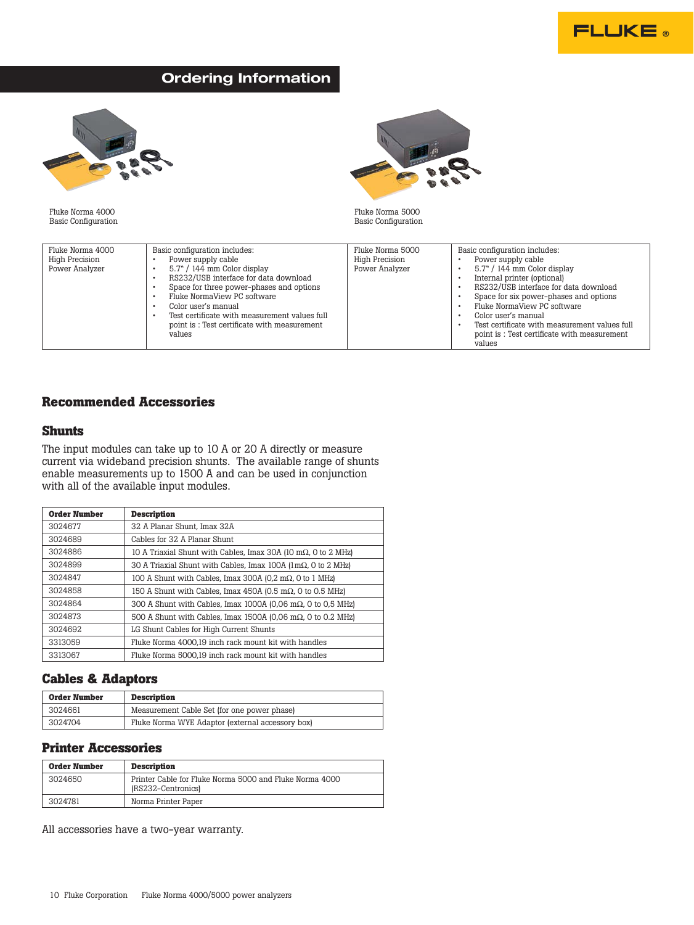## **Ordering Information**



Fluke Norma 4000 Basic Configuration



Fluke Norma 5000 Basic Configuration

| Fluke Norma 4000      | Basic configuration includes:                 | Fluke Norma 5000      | Basic configuration includes:                 |
|-----------------------|-----------------------------------------------|-----------------------|-----------------------------------------------|
| <b>High Precision</b> | Power supply cable                            | <b>High Precision</b> | Power supply cable                            |
| Power Analyzer        | $5.7^{\circ}$ / 144 mm Color display          | Power Analyzer        | $5.7^{\circ}$ / 144 mm Color display          |
|                       | RS232/USB interface for data download         |                       | Internal printer (optional)                   |
|                       | Space for three power-phases and options      |                       | RS232/USB interface for data download         |
|                       | Fluke NormaView PC software                   |                       | Space for six power-phases and options        |
|                       | Color user's manual                           |                       | Fluke NormaView PC software                   |
|                       | Test certificate with measurement values full |                       | Color user's manual                           |
|                       | point is: Test certificate with measurement   |                       | Test certificate with measurement values full |
|                       | values                                        |                       | point is: Test certificate with measurement   |
|                       |                                               |                       | values                                        |

#### **Recommended Accessories**

#### **Shunts**

The input modules can take up to 10 A or 20 A directly or measure current via wideband precision shunts. The available range of shunts enable measurements up to 1500 A and can be used in conjunction with all of the available input modules.

| <b>Order Number</b> | <b>Description</b>                                                            |
|---------------------|-------------------------------------------------------------------------------|
| 3024677             | 32 A Planar Shunt, Imax 32A                                                   |
| 3024689             | Cables for 32 A Planar Shunt                                                  |
| 3024886             | 10 A Triaxial Shunt with Cables, Imax 30A (10 m $\Omega$ , 0 to 2 MHz)        |
| 3024899             | 30 A Triaxial Shunt with Cables, Imax 100A ( $1 \text{m}\Omega$ , 0 to 2 MHz) |
| 3024847             | 100 A Shunt with Cables, Imax 300A (0,2 m $\Omega$ , 0 to 1 MHz)              |
| 3024858             | 150 A Shunt with Cables, Imax 450A (0.5 m $\Omega$ , 0 to 0.5 MHz)            |
| 3024864             | 300 A Shunt with Cables, Imax 1000A (0,06 m $\Omega$ , 0 to 0,5 MHz)          |
| 3024873             | 500 A Shunt with Cables, Imax 1500A (0,06 m $\Omega$ , 0 to 0.2 MHz)          |
| 3024692             | LG Shunt Cables for High Current Shunts                                       |
| 3313059             | Fluke Norma 4000.19 inch rack mount kit with handles                          |
| 3313067             | Fluke Norma 5000.19 inch rack mount kit with handles                          |

#### **Cables & Adaptors**

| <b>Order Number</b> | <b>Description</b>                               |  |  |  |  |  |  |  |
|---------------------|--------------------------------------------------|--|--|--|--|--|--|--|
| 3024661             | Measurement Cable Set (for one power phase)      |  |  |  |  |  |  |  |
| 3024704             | Fluke Norma WYE Adaptor (external accessory box) |  |  |  |  |  |  |  |

#### **Printer Accessories**

| <b>Order Number</b> | <b>Description</b>                                                            |
|---------------------|-------------------------------------------------------------------------------|
| 3024650             | Printer Cable for Fluke Norma 5000 and Fluke Norma 4000<br>(RS232-Centronics) |
| 3024781             | Norma Printer Paper                                                           |

All accessories have a two-year warranty.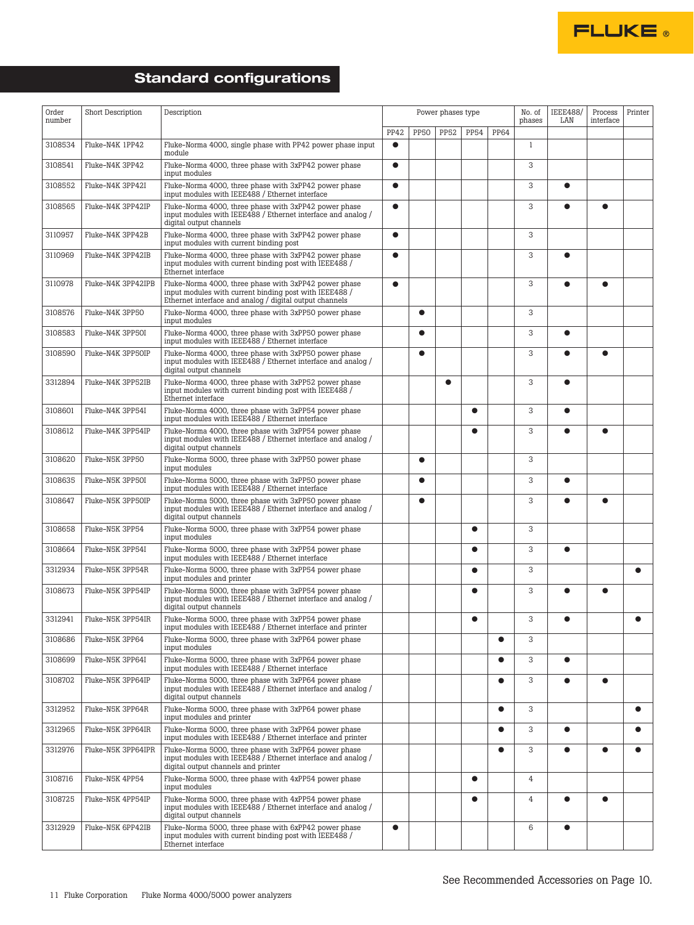

# **Standard configurations**

| Order<br>number | Short Description  | Description                                                                                                                                                                | Power phases type |             |             |             |             | No. of<br>phases | <b>IEEE488/</b><br>LAN | Process<br>interface | Printer   |
|-----------------|--------------------|----------------------------------------------------------------------------------------------------------------------------------------------------------------------------|-------------------|-------------|-------------|-------------|-------------|------------------|------------------------|----------------------|-----------|
|                 |                    |                                                                                                                                                                            | <b>PP42</b>       | <b>PP50</b> | <b>PP52</b> | <b>PP54</b> | <b>PP64</b> |                  |                        |                      |           |
| 3108534         | Fluke-N4K 1PP42    | Fluke-Norma 4000, single phase with PP42 power phase input<br>module                                                                                                       | $\bullet$         |             |             |             |             | $\mathbf{1}$     |                        |                      |           |
| 3108541         | Fluke-N4K 3PP42    | Fluke-Norma 4000, three phase with 3xPP42 power phase<br>input modules                                                                                                     | $\bullet$         |             |             |             |             | 3                |                        |                      |           |
| 3108552         | Fluke-N4K 3PP42I   | Fluke-Norma 4000, three phase with 3xPP42 power phase<br>input modules with IEEE488 / Ethernet interface                                                                   | $\bullet$         |             |             |             |             | 3                | $\bullet$              |                      |           |
| 3108565         | Fluke-N4K 3PP42IP  | Fluke-Norma 4000, three phase with 3xPP42 power phase<br>input modules with IEEE488 / Ethernet interface and analog /<br>digital output channels                           | $\bullet$         |             |             |             |             | 3                |                        |                      |           |
| 3110957         | Fluke-N4K 3PP42B   | Fluke-Norma 4000, three phase with 3xPP42 power phase<br>input modules with current binding post                                                                           | $\bullet$         |             |             |             |             | 3                |                        |                      |           |
| 3110969         | Fluke-N4K 3PP42IB  | Fluke-Norma 4000, three phase with 3xPP42 power phase<br>input modules with current binding post with IEEE488 /<br>Ethernet interface                                      | $\bullet$         |             |             |             |             | 3                | $\bullet$              |                      |           |
| 3110978         | Fluke-N4K 3PP42IPB | Fluke-Norma 4000, three phase with 3xPP42 power phase<br>input modules with current binding post with IEEE488 /<br>Ethernet interface and analog / digital output channels | $\bullet$         |             |             |             |             | 3                | $\bullet$              | $\bullet$            |           |
| 3108576         | Fluke-N4K 3PP50    | Fluke-Norma 4000, three phase with 3xPP50 power phase<br>input modules                                                                                                     |                   | $\bullet$   |             |             |             | 3                |                        |                      |           |
| 3108583         | Fluke-N4K 3PP50I   | Fluke-Norma 4000, three phase with 3xPP50 power phase<br>input modules with IEEE488 / Ethernet interface                                                                   |                   | $\bullet$   |             |             |             | 3                | $\bullet$              |                      |           |
| 3108590         | Fluke-N4K 3PP50IP  | Fluke-Norma 4000, three phase with 3xPP50 power phase<br>input modules with IEEE488 / Ethernet interface and analog /<br>digital output channels                           |                   | $\bullet$   |             |             |             | 3                | $\bullet$              | $\bullet$            |           |
| 3312894         | Fluke-N4K 3PP52IB  | Fluke-Norma 4000, three phase with 3xPP52 power phase<br>input modules with current binding post with IEEE488 /<br>Ethernet interface                                      |                   |             | ●           |             |             | 3                | $\bullet$              |                      |           |
| 3108601         | Fluke-N4K 3PP54I   | Fluke-Norma 4000, three phase with 3xPP54 power phase<br>input modules with IEEE488 / Ethernet interface                                                                   |                   |             |             | $\bullet$   |             | 3                | $\bullet$              |                      |           |
| 3108612         | Fluke-N4K 3PP54IP  | Fluke-Norma 4000, three phase with 3xPP54 power phase<br>input modules with IEEE488 / Ethernet interface and analog /<br>digital output channels                           |                   |             |             | ●           |             | 3                |                        |                      |           |
| 3108620         | Fluke-N5K 3PP50    | Fluke-Norma 5000, three phase with 3xPP50 power phase<br>input modules                                                                                                     |                   | $\bullet$   |             |             |             | 3                |                        |                      |           |
| 3108635         | Fluke-N5K 3PP50I   | Fluke-Norma 5000, three phase with 3xPP50 power phase<br>input modules with IEEE488 / Ethernet interface                                                                   |                   | $\bullet$   |             |             |             | 3                | $\bullet$              |                      |           |
| 3108647         | Fluke-N5K 3PP50IP  | Fluke-Norma 5000, three phase with 3xPP50 power phase<br>input modules with IEEE488 / Ethernet interface and analog /<br>digital output channels                           |                   | $\bullet$   |             |             |             | 3                | $\bullet$              | $\bullet$            |           |
| 3108658         | Fluke-N5K 3PP54    | Fluke-Norma 5000, three phase with 3xPP54 power phase<br>input modules                                                                                                     |                   |             |             | $\bullet$   |             | 3                |                        |                      |           |
| 3108664         | Fluke-N5K 3PP54I   | Fluke-Norma 5000, three phase with 3xPP54 power phase<br>input modules with IEEE488 / Ethernet interface                                                                   |                   |             |             | $\bullet$   |             | 3                | $\bullet$              |                      |           |
| 3312934         | Fluke-N5K 3PP54R   | Fluke-Norma 5000, three phase with 3xPP54 power phase<br>input modules and printer                                                                                         |                   |             |             | $\bullet$   |             | 3                |                        |                      |           |
| 3108673         | Fluke-N5K 3PP54IP  | Fluke-Norma 5000, three phase with 3xPP54 power phase<br>input modules with IEEE488 / Ethernet interface and analog /<br>digital output channels                           |                   |             |             | $\bullet$   |             | 3                | $\bullet$              |                      |           |
| 3312941         | Fluke-N5K 3PP54IR  | Fluke-Norma 5000, three phase with 3xPP54 power phase<br>input modules with IEEE488 / Ethernet interface and printer                                                       |                   |             |             | $\bullet$   |             | 3                | $\bullet$              |                      | $\bullet$ |
| 3108686         | Fluke-N5K 3PP64    | Fluke-Norma 5000, three phase with 3xPP64 power phase<br>input modules                                                                                                     |                   |             |             |             | $\bullet$   | 3                |                        |                      |           |
| 3108699         | Fluke-N5K 3PP64I   | Fluke-Norma 5000, three phase with 3xPP64 power phase<br>input modules with IEEE488 / Ethernet interface                                                                   |                   |             |             |             | $\bullet$   | 3                | $\bullet$              |                      |           |
| 3108702         | Fluke-N5K 3PP64IP  | Fluke-Norma 5000, three phase with 3xPP64 power phase<br>input modules with IEEE488 / Ethernet interface and analog /<br>digital output channels                           |                   |             |             |             | $\bullet$   | 3                | $\bullet$              | $\bullet$            |           |
| 3312952         | Fluke-N5K 3PP64R   | Fluke-Norma 5000, three phase with 3xPP64 power phase<br>input modules and printer                                                                                         |                   |             |             |             | $\bullet$   | 3                |                        |                      | $\bullet$ |
| 3312965         | Fluke-N5K 3PP64IR  | Fluke-Norma 5000, three phase with 3xPP64 power phase<br>input modules with IEEE488 / Ethernet interface and printer                                                       |                   |             |             |             | $\bullet$   | 3                | $\bullet$              |                      | $\bullet$ |
| 3312976         | Fluke-N5K 3PP64IPR | Fluke-Norma 5000, three phase with 3xPP64 power phase<br>input modules with IEEE488 / Ethernet interface and analog /<br>digital output channels and printer               |                   |             |             |             | $\bullet$   | 3                | $\bullet$              |                      | 0         |
| 3108716         | Fluke-N5K 4PP54    | Fluke-Norma 5000, three phase with 4xPP54 power phase<br>input modules                                                                                                     |                   |             |             | $\bullet$   |             | 4                |                        |                      |           |
| 3108725         | Fluke-N5K 4PP54IP  | Fluke-Norma 5000, three phase with 4xPP54 power phase<br>input modules with IEEE488 / Ethernet interface and analog /<br>digital output channels                           |                   |             |             | $\bullet$   |             | 4                | $\bullet$              | $\bullet$            |           |
| 3312929         | Fluke-N5K 6PP42IB  | Fluke-Norma 5000, three phase with 6xPP42 power phase<br>input modules with current binding post with IEEE488 /<br>Ethernet interface                                      | $\bullet$         |             |             |             |             | 6                | $\bullet$              |                      |           |